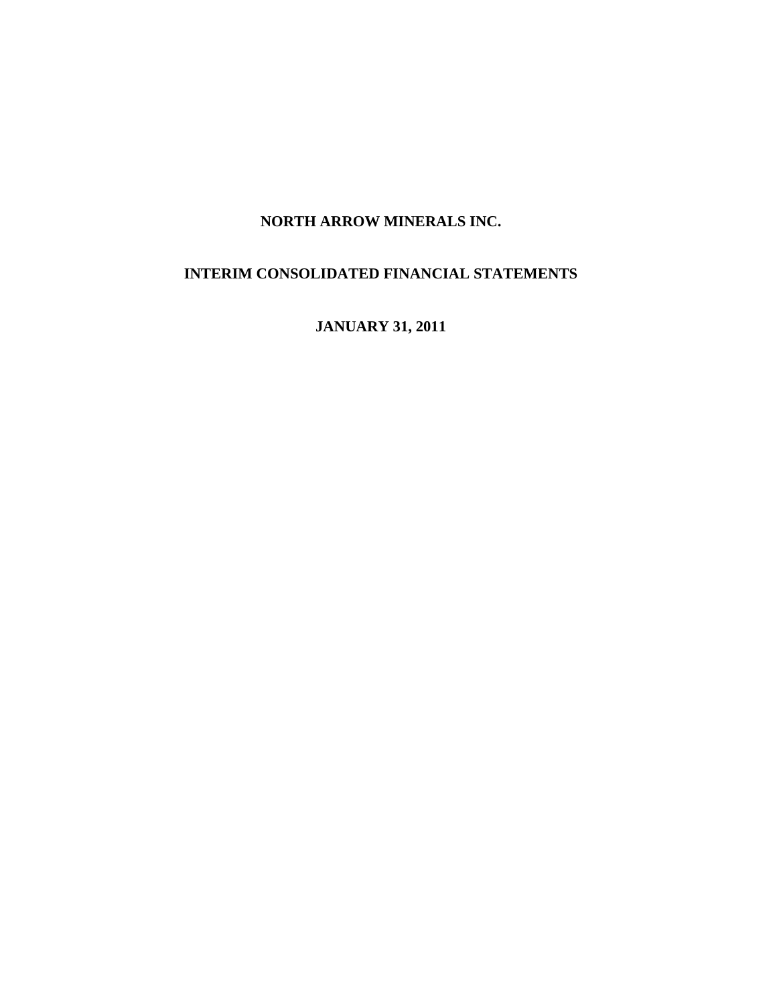# **NORTH ARROW MINERALS INC.**

# **INTERIM CONSOLIDATED FINANCIAL STATEMENTS**

**JANUARY 31, 2011**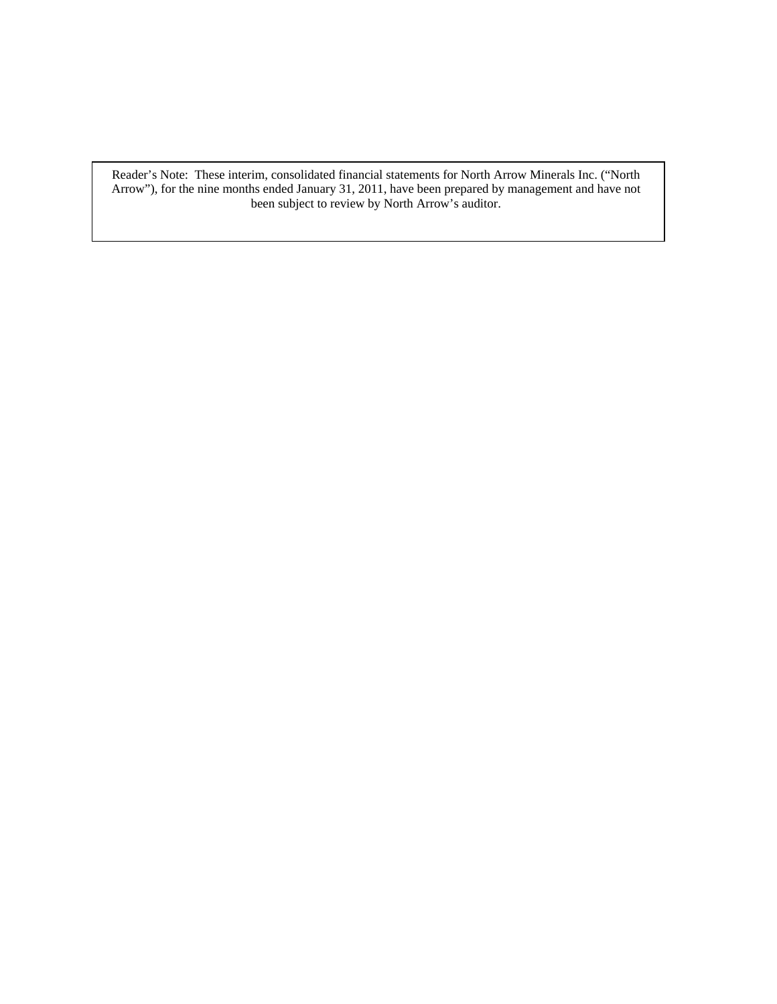Reader's Note: These interim, consolidated financial statements for North Arrow Minerals Inc. ("North Arrow"), for the nine months ended January 31, 2011, have been prepared by management and have not been subject to review by North Arrow's auditor.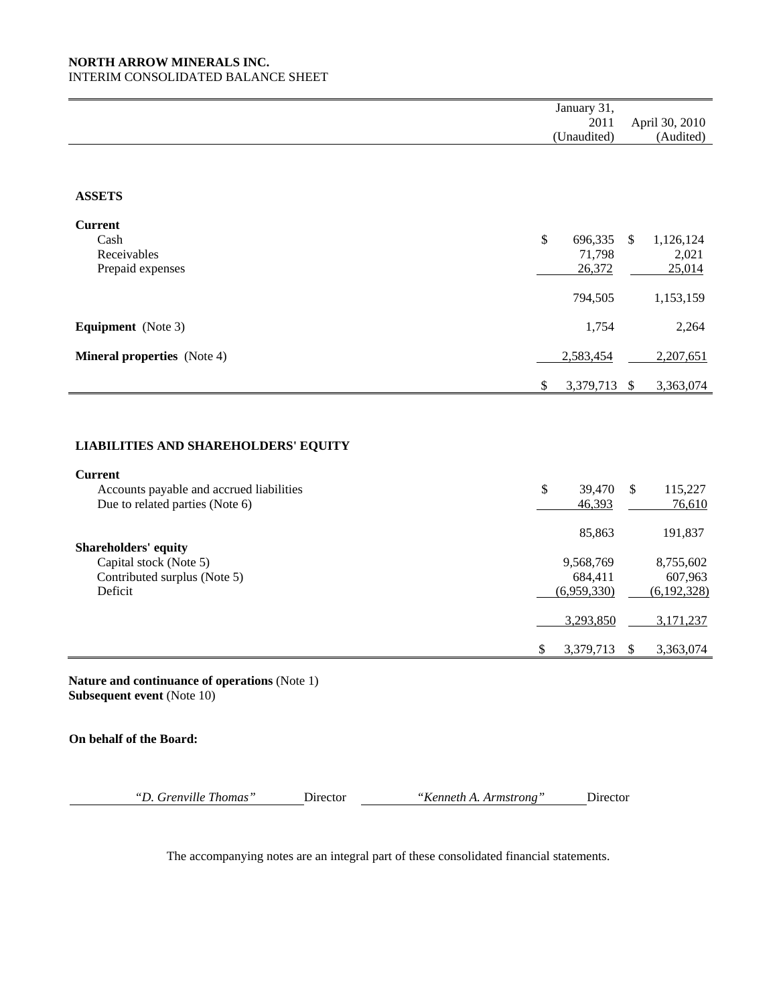## **NORTH ARROW MINERALS INC.**  INTERIM CONSOLIDATED BALANCE SHEET

|                                                                                                           | January 31,<br>2011<br>(Unaudited) |                                               |                           | April 30, 2010<br>(Audited)                      |
|-----------------------------------------------------------------------------------------------------------|------------------------------------|-----------------------------------------------|---------------------------|--------------------------------------------------|
|                                                                                                           |                                    |                                               |                           |                                                  |
| <b>ASSETS</b>                                                                                             |                                    |                                               |                           |                                                  |
| <b>Current</b><br>Cash<br>Receivables<br>Prepaid expenses                                                 | $\mathcal{S}$                      | 696,335<br>71,798<br>26,372                   | \$                        | 1,126,124<br>2,021<br>25,014                     |
|                                                                                                           |                                    | 794,505                                       |                           | 1,153,159                                        |
| <b>Equipment</b> (Note 3)                                                                                 |                                    | 1,754                                         |                           | 2,264                                            |
| <b>Mineral properties</b> (Note 4)                                                                        |                                    | 2,583,454                                     |                           | 2,207,651                                        |
|                                                                                                           | \$                                 | 3,379,713                                     | $\mathcal{S}$             | 3,363,074                                        |
| <b>LIABILITIES AND SHAREHOLDERS' EQUITY</b><br><b>Current</b><br>Accounts payable and accrued liabilities | $\mathcal{S}$                      | 39,470                                        | $\mathbb{S}$              | 115,227                                          |
| Due to related parties (Note 6)                                                                           |                                    | 46,393                                        |                           | 76,610                                           |
| Shareholders' equity<br>Capital stock (Note 5)<br>Contributed surplus (Note 5)<br>Deficit                 |                                    | 85,863<br>9,568,769<br>684,411<br>(6,959,330) |                           | 191,837<br>8,755,602<br>607,963<br>(6, 192, 328) |
|                                                                                                           |                                    | 3,293,850                                     |                           | 3,171,237                                        |
|                                                                                                           | \$                                 | 3,379,713                                     | $\boldsymbol{\mathsf{S}}$ | 3,363,074                                        |
| Nature and continuance of operations (Note 1)<br><b>Subsequent event (Note 10)</b>                        |                                    |                                               |                           |                                                  |

**On behalf of the Board:** 

 *"D. Grenville Thomas"* Director *"Kenneth A. Armstrong"* Director

The accompanying notes are an integral part of these consolidated financial statements.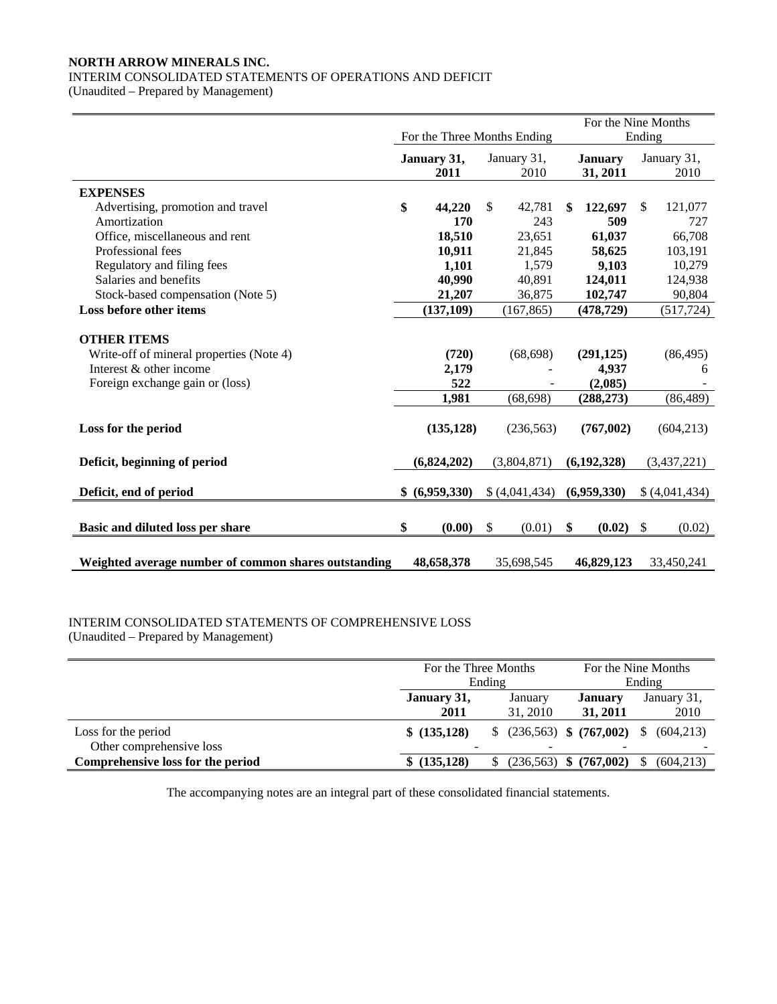# **NORTH ARROW MINERALS INC.**

# INTERIM CONSOLIDATED STATEMENTS OF OPERATIONS AND DEFICIT

(Unaudited – Prepared by Management)

|                                                                                                                              |                       |                             | For the Nine Months            |        |                |
|------------------------------------------------------------------------------------------------------------------------------|-----------------------|-----------------------------|--------------------------------|--------|----------------|
|                                                                                                                              |                       | For the Three Months Ending |                                | Ending |                |
|                                                                                                                              | January 31,           | January 31,                 | <b>January</b>                 |        | January 31,    |
|                                                                                                                              | 2011                  | 2010                        | 31, 2011                       |        | 2010           |
| <b>EXPENSES</b>                                                                                                              |                       |                             |                                |        |                |
| Advertising, promotion and travel                                                                                            | \$<br>44,220          | \$<br>42,781                | \$<br>122,697                  | \$     | 121,077        |
| Amortization                                                                                                                 | 170                   | 243                         | 509                            |        | 727            |
| Office, miscellaneous and rent                                                                                               | 18,510                | 23,651                      | 61,037                         |        | 66,708         |
| Professional fees                                                                                                            | 10,911                | 21,845                      | 58,625                         |        | 103,191        |
| Regulatory and filing fees                                                                                                   | 1,101                 | 1,579                       | 9,103                          |        | 10,279         |
| Salaries and benefits                                                                                                        | 40,990                | 40,891                      | 124,011                        |        | 124,938        |
| Stock-based compensation (Note 5)                                                                                            | 21,207                | 36,875                      | 102,747                        |        | 90,804         |
| Loss before other items                                                                                                      | (137, 109)            | (167, 865)                  | (478, 729)                     |        | (517, 724)     |
| <b>OTHER ITEMS</b><br>Write-off of mineral properties (Note 4)<br>Interest & other income<br>Foreign exchange gain or (loss) | (720)<br>2,179<br>522 | (68, 698)                   | (291, 125)<br>4,937<br>(2,085) |        | (86, 495)<br>6 |
|                                                                                                                              | 1,981                 | (68, 698)                   | (288, 273)                     |        | (86, 489)      |
| Loss for the period                                                                                                          | (135, 128)            | (236, 563)                  | (767,002)                      |        | (604, 213)     |
| Deficit, beginning of period                                                                                                 | (6,824,202)           | (3,804,871)                 | (6, 192, 328)                  |        | (3,437,221)    |
| Deficit, end of period                                                                                                       | \$ (6,959,330)        | \$(4,041,434)               | (6,959,330)                    |        | \$(4,041,434)  |
| Basic and diluted loss per share                                                                                             | \$<br>(0.00)          | \$<br>(0.01)                | \$<br>$(0.02)$ \$              |        | (0.02)         |
| Weighted average number of common shares outstanding                                                                         | 48,658,378            | 35,698,545                  | 46,829,123                     |        | 33,450,241     |

# INTERIM CONSOLIDATED STATEMENTS OF COMPREHENSIVE LOSS

(Unaudited – Prepared by Management)

|                                   | For the Three Months |                             | For the Nine Months        |                            |  |  |
|-----------------------------------|----------------------|-----------------------------|----------------------------|----------------------------|--|--|
|                                   |                      | Ending                      | Ending                     |                            |  |  |
|                                   | January 31,          | January                     | <b>January</b>             | January 31,                |  |  |
|                                   | 2011                 | 31, 2010                    | 31, 2011                   | 2010                       |  |  |
| Loss for the period               | \$ (135,128)         | $$$ (236,563) $$$ (767,002) |                            | <sup>S</sup><br>(604, 213) |  |  |
| Other comprehensive loss          |                      |                             |                            |                            |  |  |
| Comprehensive loss for the period | \$ (135,128)         |                             | $(236,563)$ \$ $(767,002)$ | (604, 213)                 |  |  |

The accompanying notes are an integral part of these consolidated financial statements.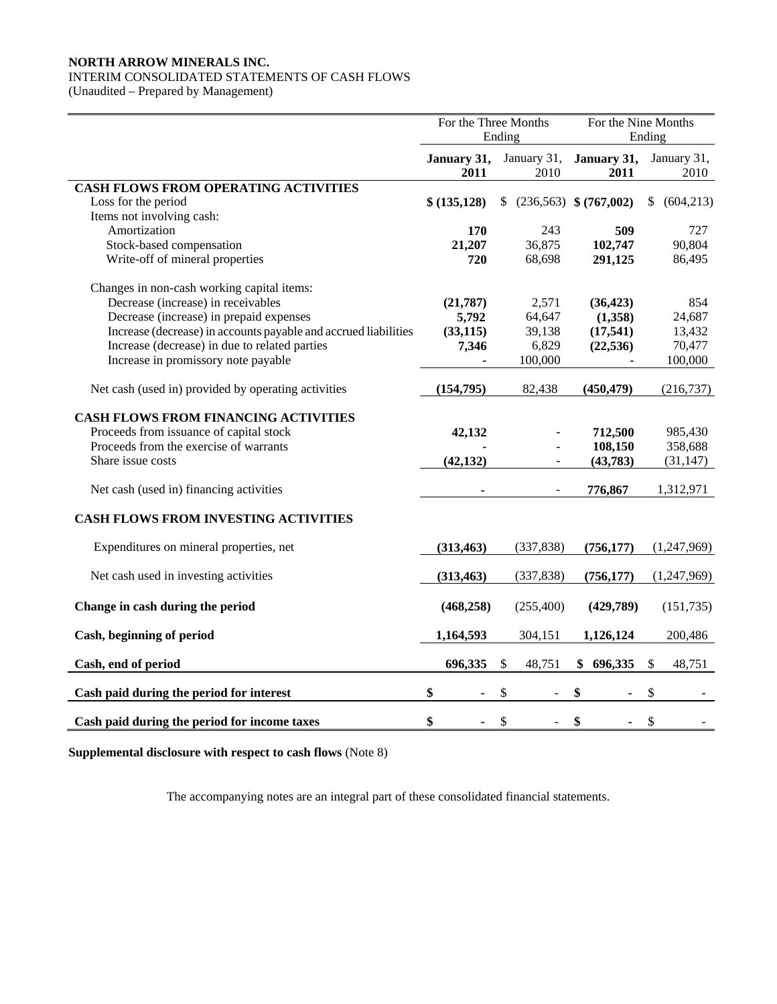# **NORTH ARROW MINERALS INC.**

# INTERIM CONSOLIDATED STATEMENTS OF CASH FLOWS

(Unaudited – Prepared by Management)

|                                                                 | For the Three Months |              | For the Nine Months      |                  |
|-----------------------------------------------------------------|----------------------|--------------|--------------------------|------------------|
|                                                                 | Ending               |              |                          | Ending           |
|                                                                 | January 31,          | January 31,  | January 31,              | January 31,      |
|                                                                 | 2011                 | 2010         | 2011                     | 2010             |
| <b>CASH FLOWS FROM OPERATING ACTIVITIES</b>                     |                      |              |                          |                  |
| Loss for the period                                             | \$(135,128)          | \$           | $(236,563)$ \$ (767,002) | (604, 213)<br>\$ |
| Items not involving cash:                                       |                      |              |                          |                  |
| Amortization                                                    | 170                  | 243          | 509                      | 727              |
| Stock-based compensation                                        | 21,207               | 36,875       | 102,747                  | 90,804           |
| Write-off of mineral properties                                 | 720                  | 68,698       | 291,125                  | 86,495           |
| Changes in non-cash working capital items:                      |                      |              |                          |                  |
| Decrease (increase) in receivables                              | (21, 787)            | 2,571        | (36, 423)                | 854              |
| Decrease (increase) in prepaid expenses                         | 5,792                | 64,647       | (1,358)                  | 24,687           |
| Increase (decrease) in accounts payable and accrued liabilities | (33, 115)            | 39,138       | (17, 541)                | 13,432           |
| Increase (decrease) in due to related parties                   | 7,346                | 6,829        | (22, 536)                | 70,477           |
| Increase in promissory note payable                             |                      | 100,000      |                          | 100,000          |
| Net cash (used in) provided by operating activities             | (154, 795)           | 82,438       | (450, 479)               | (216, 737)       |
| <b>CASH FLOWS FROM FINANCING ACTIVITIES</b>                     |                      |              |                          |                  |
| Proceeds from issuance of capital stock                         | 42,132               |              | 712,500                  | 985,430          |
| Proceeds from the exercise of warrants                          |                      |              | 108,150                  | 358,688          |
| Share issue costs                                               | (42, 132)            |              | (43, 783)                | (31, 147)        |
|                                                                 |                      |              |                          |                  |
| Net cash (used in) financing activities                         |                      |              | 776,867                  | 1,312,971        |
| <b>CASH FLOWS FROM INVESTING ACTIVITIES</b>                     |                      |              |                          |                  |
| Expenditures on mineral properties, net                         | (313, 463)           | (337, 838)   | (756, 177)               | (1,247,969)      |
| Net cash used in investing activities                           | (313, 463)           | (337, 838)   | (756, 177)               | (1,247,969)      |
| Change in cash during the period                                | (468, 258)           | (255, 400)   | (429,789)                | (151, 735)       |
|                                                                 |                      |              |                          |                  |
| Cash, beginning of period                                       | 1,164,593            | 304,151      | 1,126,124                | 200,486          |
| Cash, end of period                                             | 696,335              | \$<br>48,751 | \$<br>696,335            | \$<br>48,751     |
| Cash paid during the period for interest                        | \$                   | \$           | \$                       | \$               |
| Cash paid during the period for income taxes                    | \$<br>$\blacksquare$ | \$           | \$<br>$\blacksquare$     | \$               |

**Supplemental disclosure with respect to cash flows** (Note 8)

The accompanying notes are an integral part of these consolidated financial statements.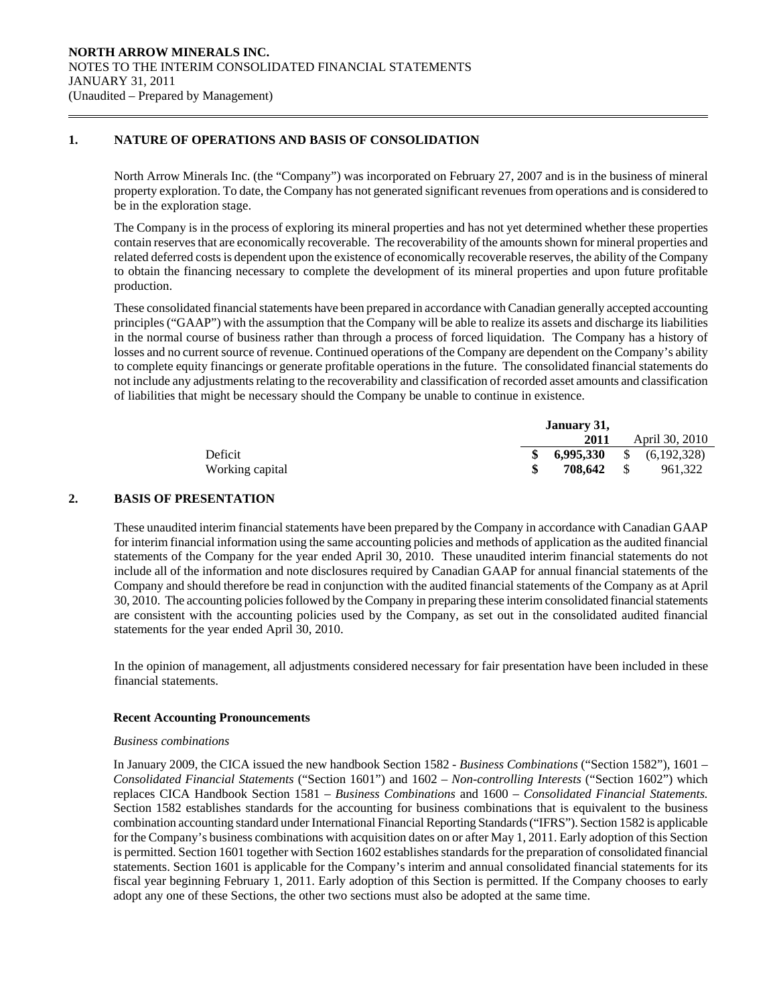# **1. NATURE OF OPERATIONS AND BASIS OF CONSOLIDATION**

North Arrow Minerals Inc. (the "Company") was incorporated on February 27, 2007 and is in the business of mineral property exploration. To date, the Company has not generated significant revenues from operations and is considered to be in the exploration stage.

The Company is in the process of exploring its mineral properties and has not yet determined whether these properties contain reserves that are economically recoverable. The recoverability of the amounts shown for mineral properties and related deferred costs is dependent upon the existence of economically recoverable reserves, the ability of the Company to obtain the financing necessary to complete the development of its mineral properties and upon future profitable production.

 These consolidated financial statements have been prepared in accordance with Canadian generally accepted accounting principles ("GAAP") with the assumption that the Company will be able to realize its assets and discharge its liabilities in the normal course of business rather than through a process of forced liquidation. The Company has a history of losses and no current source of revenue. Continued operations of the Company are dependent on the Company's ability to complete equity financings or generate profitable operations in the future. The consolidated financial statements do not include any adjustments relating to the recoverability and classification of recorded asset amounts and classification of liabilities that might be necessary should the Company be unable to continue in existence.

|                 | January 31, |                                   |
|-----------------|-------------|-----------------------------------|
|                 | 2011        | April 30, 2010                    |
| Deficit         |             | <b>6,995,330</b> \$ $(6,192,328)$ |
| Working capital | 708.642 \$  | 961.322                           |

## **2. BASIS OF PRESENTATION**

 $\overline{a}$ 

These unaudited interim financial statements have been prepared by the Company in accordance with Canadian GAAP for interim financial information using the same accounting policies and methods of application as the audited financial statements of the Company for the year ended April 30, 2010. These unaudited interim financial statements do not include all of the information and note disclosures required by Canadian GAAP for annual financial statements of the Company and should therefore be read in conjunction with the audited financial statements of the Company as at April 30, 2010. The accounting policies followed by the Company in preparing these interim consolidated financial statements are consistent with the accounting policies used by the Company, as set out in the consolidated audited financial statements for the year ended April 30, 2010.

In the opinion of management, all adjustments considered necessary for fair presentation have been included in these financial statements.

## **Recent Accounting Pronouncements**

#### *Business combinations*

In January 2009, the CICA issued the new handbook Section 1582 - *Business Combinations* ("Section 1582"), 1601 – *Consolidated Financial Statements* ("Section 1601") and 1602 *– Non-controlling Interests* ("Section 1602") which replaces CICA Handbook Section 1581 – *Business Combinations* and 1600 – *Consolidated Financial Statements.*  Section 1582 establishes standards for the accounting for business combinations that is equivalent to the business combination accounting standard under International Financial Reporting Standards ("IFRS"). Section 1582 is applicable for the Company's business combinations with acquisition dates on or after May 1, 2011. Early adoption of this Section is permitted. Section 1601 together with Section 1602 establishes standards for the preparation of consolidated financial statements. Section 1601 is applicable for the Company's interim and annual consolidated financial statements for its fiscal year beginning February 1, 2011. Early adoption of this Section is permitted. If the Company chooses to early adopt any one of these Sections, the other two sections must also be adopted at the same time.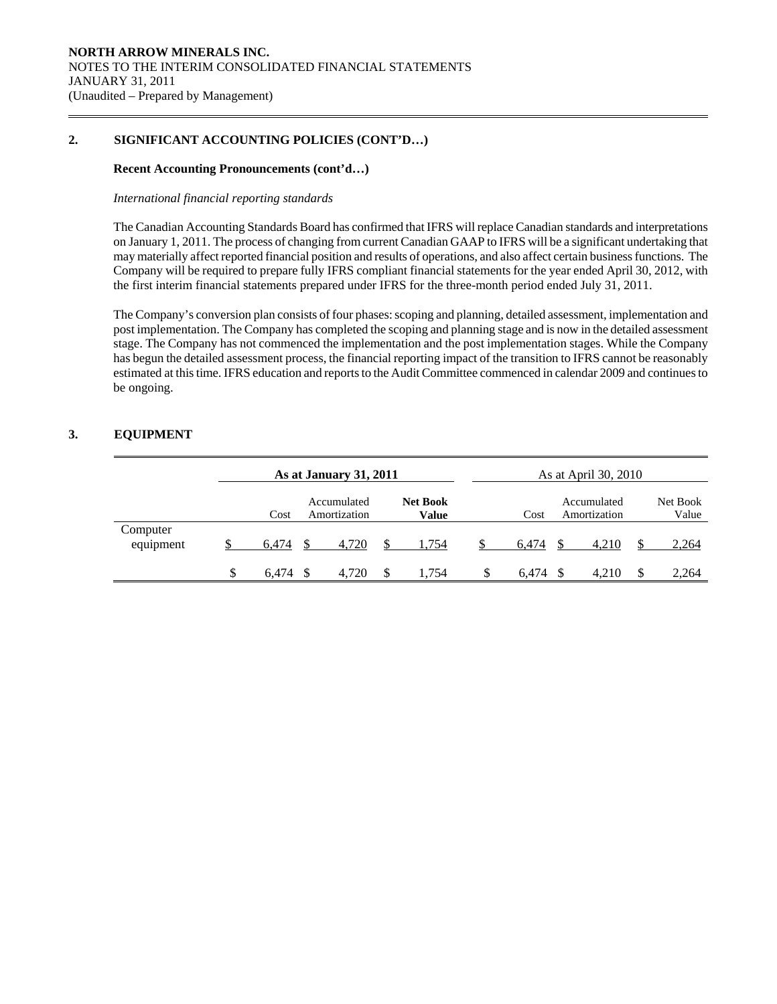# **2. SIGNIFICANT ACCOUNTING POLICIES (CONT'D…)**

## **Recent Accounting Pronouncements (cont'd…)**

#### *International financial reporting standards*

The Canadian Accounting Standards Board has confirmed that IFRS will replace Canadian standards and interpretations on January 1, 2011. The process of changing from current Canadian GAAP to IFRS will be a significant undertaking that may materially affect reported financial position and results of operations, and also affect certain business functions. The Company will be required to prepare fully IFRS compliant financial statements for the year ended April 30, 2012, with the first interim financial statements prepared under IFRS for the three-month period ended July 31, 2011.

The Company's conversion plan consists of four phases: scoping and planning, detailed assessment, implementation and post implementation. The Company has completed the scoping and planning stage and is now in the detailed assessment stage. The Company has not commenced the implementation and the post implementation stages. While the Company has begun the detailed assessment process, the financial reporting impact of the transition to IFRS cannot be reasonably estimated at this time. IFRS education and reports to the Audit Committee commenced in calendar 2009 and continues to be ongoing.

## **3. EQUIPMENT**

 $\overline{a}$ 

|                       | As at January 31, 2011 |       |                             |                          |     |       | As at April 30, 2010 |                             |   |                   |
|-----------------------|------------------------|-------|-----------------------------|--------------------------|-----|-------|----------------------|-----------------------------|---|-------------------|
|                       |                        | Cost  | Accumulated<br>Amortization | <b>Net Book</b><br>Value |     | Cost  |                      | Accumulated<br>Amortization |   | Net Book<br>Value |
| Computer<br>equipment |                        | 6.474 | 4,720                       | 1.754                    |     | 6.474 |                      | 4,210                       |   | 2,264             |
|                       | \$                     | 6.474 | 4.720                       | \$<br>.754               | \$. | 6,474 | S                    | 4.210                       | S | 2,264             |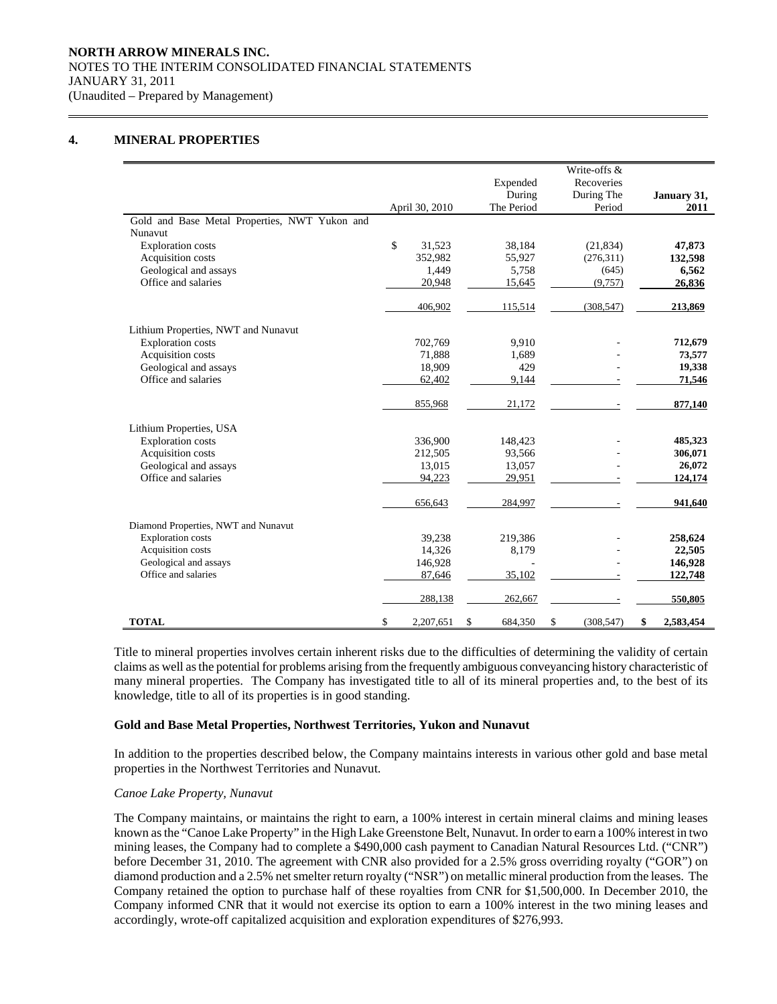## **NORTH ARROW MINERALS INC.**  NOTES TO THE INTERIM CONSOLIDATED FINANCIAL STATEMENTS JANUARY 31, 2011 (Unaudited – Prepared by Management)

## **4. MINERAL PROPERTIES**

 $\overline{a}$ 

|                                               |                 |               | Write-offs &     |                 |
|-----------------------------------------------|-----------------|---------------|------------------|-----------------|
|                                               |                 | Expended      | Recoveries       |                 |
|                                               |                 | During        | During The       | January 31,     |
|                                               | April 30, 2010  | The Period    | Period           | 2011            |
| Gold and Base Metal Properties, NWT Yukon and |                 |               |                  |                 |
| Nunavut                                       |                 |               |                  |                 |
| <b>Exploration costs</b>                      | \$<br>31,523    | 38,184        | (21, 834)        | 47,873          |
| Acquisition costs                             | 352,982         | 55,927        | (276,311)        | 132,598         |
| Geological and assays                         | 1,449           | 5,758         | (645)            | 6,562           |
| Office and salaries                           | 20,948          | 15,645        | (9, 757)         | 26,836          |
|                                               |                 |               |                  |                 |
|                                               | 406,902         | 115,514       | (308, 547)       | 213,869         |
| Lithium Properties, NWT and Nunavut           |                 |               |                  |                 |
| <b>Exploration</b> costs                      | 702,769         | 9,910         |                  | 712,679         |
| Acquisition costs                             | 71,888          | 1,689         |                  | 73,577          |
| Geological and assays                         | 18,909          | 429           |                  | 19,338          |
| Office and salaries                           | 62,402          | 9,144         |                  | 71,546          |
|                                               |                 |               |                  |                 |
|                                               | 855,968         | 21,172        |                  | 877,140         |
| Lithium Properties, USA                       |                 |               |                  |                 |
| <b>Exploration</b> costs                      | 336,900         | 148,423       |                  | 485,323         |
| Acquisition costs                             | 212,505         | 93,566        |                  | 306,071         |
| Geological and assays                         | 13,015          | 13,057        |                  | 26,072          |
| Office and salaries                           | 94,223          | 29,951        |                  | 124,174         |
|                                               |                 |               |                  |                 |
|                                               | 656,643         | 284,997       |                  | 941,640         |
| Diamond Properties, NWT and Nunavut           |                 |               |                  |                 |
| <b>Exploration</b> costs                      | 39,238          | 219,386       |                  | 258,624         |
| Acquisition costs                             | 14,326          | 8,179         |                  | 22,505          |
| Geological and assays                         | 146,928         |               |                  | 146,928         |
| Office and salaries                           | 87,646          | 35,102        |                  | 122,748         |
|                                               |                 |               |                  |                 |
|                                               | 288,138         | 262,667       |                  | 550,805         |
| <b>TOTAL</b>                                  | \$<br>2,207,651 | \$<br>684,350 | \$<br>(308, 547) | \$<br>2,583,454 |

 Title to mineral properties involves certain inherent risks due to the difficulties of determining the validity of certain claims as well as the potential for problems arising from the frequently ambiguous conveyancing history characteristic of many mineral properties. The Company has investigated title to all of its mineral properties and, to the best of its knowledge, title to all of its properties is in good standing.

## **Gold and Base Metal Properties, Northwest Territories, Yukon and Nunavut**

In addition to the properties described below, the Company maintains interests in various other gold and base metal properties in the Northwest Territories and Nunavut.

## *Canoe Lake Property, Nunavut*

 The Company maintains, or maintains the right to earn, a 100% interest in certain mineral claims and mining leases known as the "Canoe Lake Property" in the High Lake Greenstone Belt, Nunavut. In order to earn a 100% interest in two mining leases, the Company had to complete a \$490,000 cash payment to Canadian Natural Resources Ltd. ("CNR") before December 31, 2010. The agreement with CNR also provided for a 2.5% gross overriding royalty ("GOR") on diamond production and a 2.5% net smelter return royalty ("NSR") on metallic mineral production from the leases. The Company retained the option to purchase half of these royalties from CNR for \$1,500,000. In December 2010, the Company informed CNR that it would not exercise its option to earn a 100% interest in the two mining leases and accordingly, wrote-off capitalized acquisition and exploration expenditures of \$276,993.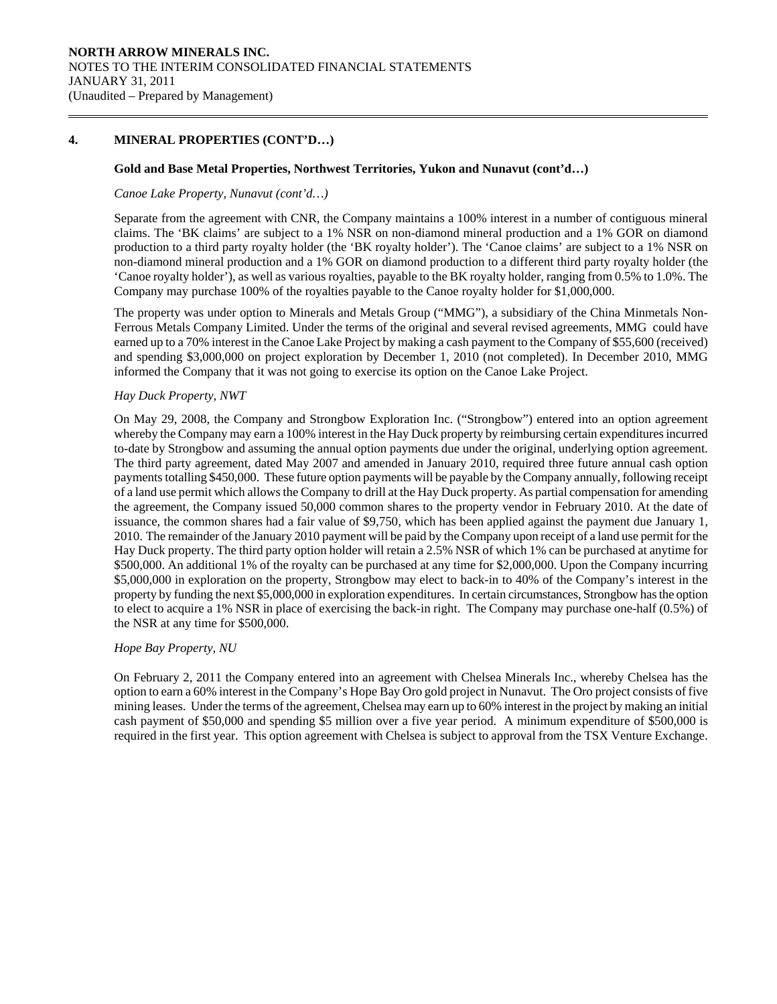## **4. MINERAL PROPERTIES (CONT'D…)**

 $\overline{a}$ 

#### **Gold and Base Metal Properties, Northwest Territories, Yukon and Nunavut (cont'd…)**

#### *Canoe Lake Property, Nunavut (cont'd…)*

Separate from the agreement with CNR, the Company maintains a 100% interest in a number of contiguous mineral claims. The 'BK claims' are subject to a 1% NSR on non-diamond mineral production and a 1% GOR on diamond production to a third party royalty holder (the 'BK royalty holder'). The 'Canoe claims' are subject to a 1% NSR on non-diamond mineral production and a 1% GOR on diamond production to a different third party royalty holder (the 'Canoe royalty holder'), as well as various royalties, payable to the BK royalty holder, ranging from 0.5% to 1.0%. The Company may purchase 100% of the royalties payable to the Canoe royalty holder for \$1,000,000.

The property was under option to Minerals and Metals Group ("MMG"), a subsidiary of the China Minmetals Non-Ferrous Metals Company Limited. Under the terms of the original and several revised agreements, MMG could have earned up to a 70% interest in the Canoe Lake Project by making a cash payment to the Company of \$55,600 (received) and spending \$3,000,000 on project exploration by December 1, 2010 (not completed). In December 2010, MMG informed the Company that it was not going to exercise its option on the Canoe Lake Project.

## *Hay Duck Property, NWT*

On May 29, 2008, the Company and Strongbow Exploration Inc. ("Strongbow") entered into an option agreement whereby the Company may earn a 100% interest in the Hay Duck property by reimbursing certain expenditures incurred to-date by Strongbow and assuming the annual option payments due under the original, underlying option agreement. The third party agreement, dated May 2007 and amended in January 2010, required three future annual cash option payments totalling \$450,000. These future option payments will be payable by the Company annually, following receipt of a land use permit which allows the Company to drill at the Hay Duck property. As partial compensation for amending the agreement, the Company issued 50,000 common shares to the property vendor in February 2010. At the date of issuance, the common shares had a fair value of \$9,750, which has been applied against the payment due January 1, 2010. The remainder of the January 2010 payment will be paid by the Company upon receipt of a land use permit for the Hay Duck property. The third party option holder will retain a 2.5% NSR of which 1% can be purchased at anytime for \$500,000. An additional 1% of the royalty can be purchased at any time for \$2,000,000. Upon the Company incurring \$5,000,000 in exploration on the property, Strongbow may elect to back-in to 40% of the Company's interest in the property by funding the next \$5,000,000 in exploration expenditures. In certain circumstances, Strongbow has the option to elect to acquire a 1% NSR in place of exercising the back-in right. The Company may purchase one-half (0.5%) of the NSR at any time for \$500,000.

## *Hope Bay Property, NU*

On February 2, 2011 the Company entered into an agreement with Chelsea Minerals Inc., whereby Chelsea has the option to earn a 60% interest in the Company's Hope Bay Oro gold project in Nunavut. The Oro project consists of five mining leases. Under the terms of the agreement, Chelsea may earn up to 60% interest in the project by making an initial cash payment of \$50,000 and spending \$5 million over a five year period. A minimum expenditure of \$500,000 is required in the first year. This option agreement with Chelsea is subject to approval from the TSX Venture Exchange.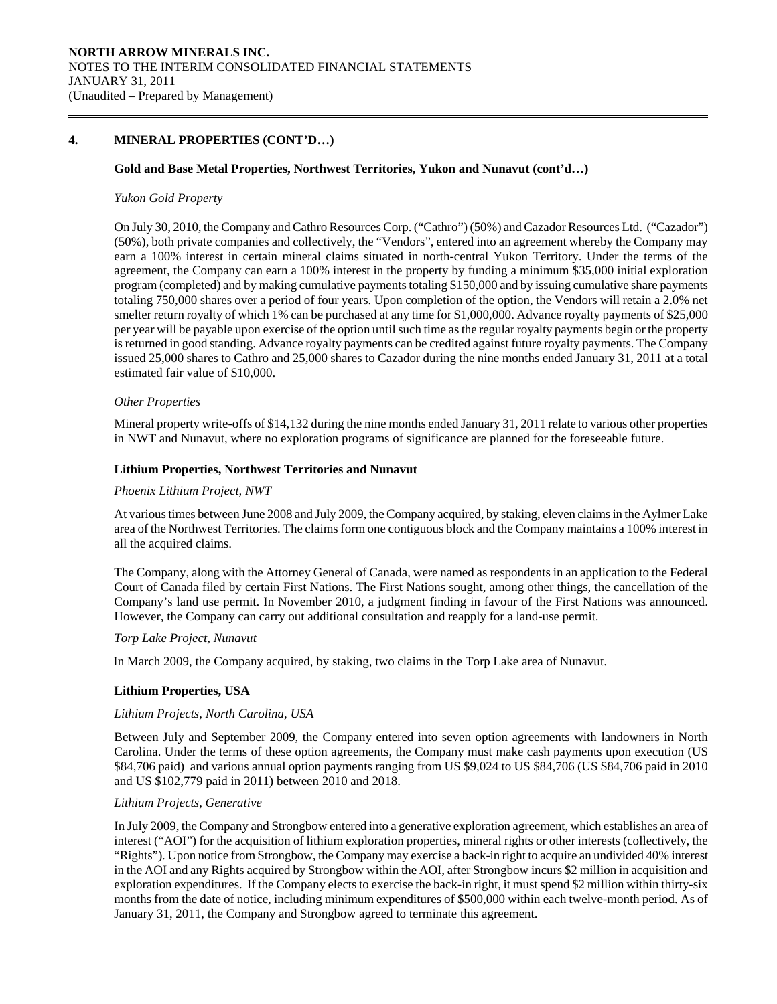## **4. MINERAL PROPERTIES (CONT'D…)**

#### **Gold and Base Metal Properties, Northwest Territories, Yukon and Nunavut (cont'd…)**

#### *Yukon Gold Property*

 $\overline{a}$ 

On July 30, 2010, the Company and Cathro Resources Corp. ("Cathro") (50%) and Cazador Resources Ltd. ("Cazador") (50%), both private companies and collectively, the "Vendors", entered into an agreement whereby the Company may earn a 100% interest in certain mineral claims situated in north-central Yukon Territory. Under the terms of the agreement, the Company can earn a 100% interest in the property by funding a minimum \$35,000 initial exploration program (completed) and by making cumulative payments totaling \$150,000 and by issuing cumulative share payments totaling 750,000 shares over a period of four years. Upon completion of the option, the Vendors will retain a 2.0% net smelter return royalty of which 1% can be purchased at any time for \$1,000,000. Advance royalty payments of \$25,000 per year will be payable upon exercise of the option until such time as the regular royalty payments begin or the property is returned in good standing. Advance royalty payments can be credited against future royalty payments. The Company issued 25,000 shares to Cathro and 25,000 shares to Cazador during the nine months ended January 31, 2011 at a total estimated fair value of \$10,000.

#### *Other Properties*

Mineral property write-offs of \$14,132 during the nine months ended January 31, 2011 relate to various other properties in NWT and Nunavut, where no exploration programs of significance are planned for the foreseeable future.

#### **Lithium Properties, Northwest Territories and Nunavut**

#### *Phoenix Lithium Project, NWT*

At various times between June 2008 and July 2009, the Company acquired, by staking, eleven claims in the Aylmer Lake area of the Northwest Territories. The claims form one contiguous block and the Company maintains a 100% interest in all the acquired claims.

The Company, along with the Attorney General of Canada, were named as respondents in an application to the Federal Court of Canada filed by certain First Nations. The First Nations sought, among other things, the cancellation of the Company's land use permit. In November 2010, a judgment finding in favour of the First Nations was announced. However, the Company can carry out additional consultation and reapply for a land-use permit.

#### *Torp Lake Project, Nunavut*

In March 2009, the Company acquired, by staking, two claims in the Torp Lake area of Nunavut.

## **Lithium Properties, USA**

#### *Lithium Projects, North Carolina, USA*

Between July and September 2009, the Company entered into seven option agreements with landowners in North Carolina. Under the terms of these option agreements, the Company must make cash payments upon execution (US \$84,706 paid) and various annual option payments ranging from US \$9,024 to US \$84,706 (US \$84,706 paid in 2010 and US \$102,779 paid in 2011) between 2010 and 2018.

#### *Lithium Projects, Generative*

In July 2009, the Company and Strongbow entered into a generative exploration agreement, which establishes an area of interest ("AOI") for the acquisition of lithium exploration properties, mineral rights or other interests (collectively, the "Rights"). Upon notice from Strongbow, the Company may exercise a back-in right to acquire an undivided 40% interest in the AOI and any Rights acquired by Strongbow within the AOI, after Strongbow incurs \$2 million in acquisition and exploration expenditures. If the Company elects to exercise the back-in right, it must spend \$2 million within thirty-six months from the date of notice, including minimum expenditures of \$500,000 within each twelve-month period. As of January 31, 2011, the Company and Strongbow agreed to terminate this agreement.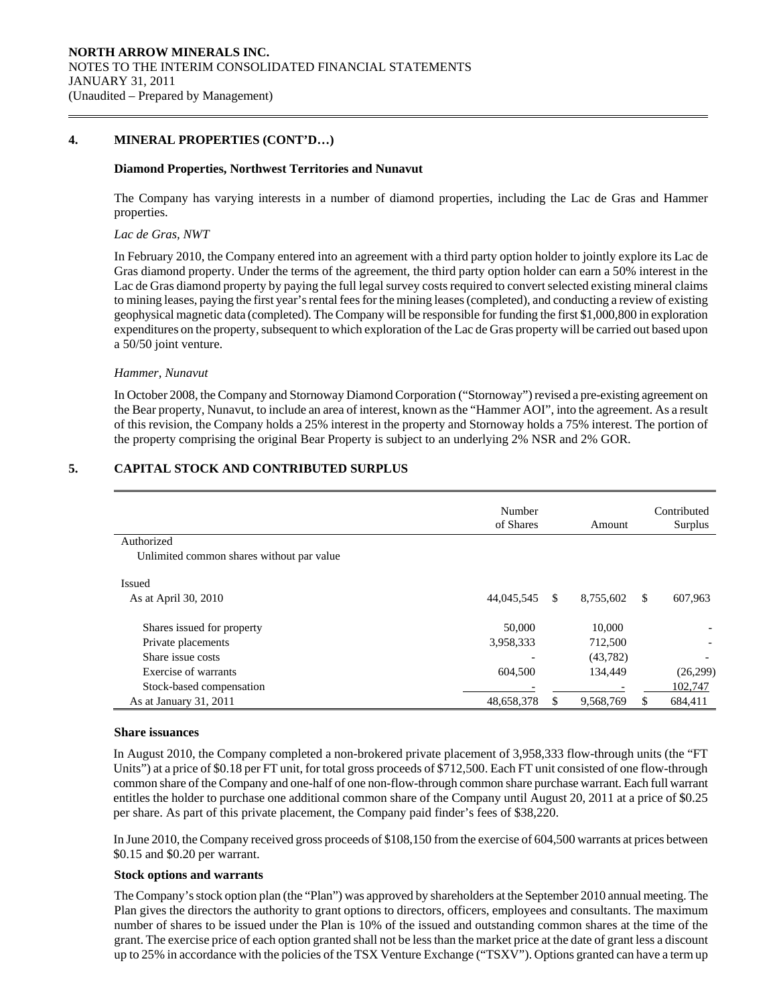## **4. MINERAL PROPERTIES (CONT'D…)**

#### **Diamond Properties, Northwest Territories and Nunavut**

The Company has varying interests in a number of diamond properties, including the Lac de Gras and Hammer properties.

#### *Lac de Gras, NWT*

 $\overline{a}$ 

In February 2010, the Company entered into an agreement with a third party option holder to jointly explore its Lac de Gras diamond property. Under the terms of the agreement, the third party option holder can earn a 50% interest in the Lac de Gras diamond property by paying the full legal survey costs required to convert selected existing mineral claims to mining leases, paying the first year's rental fees for the mining leases (completed), and conducting a review of existing geophysical magnetic data (completed). The Company will be responsible for funding the first \$1,000,800 in exploration expenditures on the property, subsequent to which exploration of the Lac de Gras property will be carried out based upon a 50/50 joint venture.

#### *Hammer, Nunavut*

In October 2008, the Company and Stornoway Diamond Corporation ("Stornoway") revised a pre-existing agreement on the Bear property, Nunavut, to include an area of interest, known as the "Hammer AOI", into the agreement. As a result of this revision, the Company holds a 25% interest in the property and Stornoway holds a 75% interest. The portion of the property comprising the original Bear Property is subject to an underlying 2% NSR and 2% GOR.

# **5. CAPITAL STOCK AND CONTRIBUTED SURPLUS**

|                                           | Number<br>of Shares |     | Amount    | Contributed<br>Surplus |
|-------------------------------------------|---------------------|-----|-----------|------------------------|
| Authorized                                |                     |     |           |                        |
| Unlimited common shares without par value |                     |     |           |                        |
| <b>Issued</b><br>As at April 30, 2010     | 44,045,545          | \$. | 8,755,602 | \$<br>607,963          |
| Shares issued for property                | 50,000              |     | 10.000    |                        |
| Private placements                        | 3,958,333           |     | 712,500   |                        |
| Share issue costs                         |                     |     | (43, 782) |                        |
| Exercise of warrants                      | 604,500             |     | 134,449   | (26,299)               |
| Stock-based compensation                  |                     |     |           | 102,747                |
| As at January 31, 2011                    | 48,658,378          |     | 9,568,769 | \$<br>684.411          |

## **Share issuances**

In August 2010, the Company completed a non-brokered private placement of 3,958,333 flow-through units (the "FT Units") at a price of \$0.18 per FT unit, for total gross proceeds of \$712,500. Each FT unit consisted of one flow-through common share of the Company and one-half of one non-flow-through common share purchase warrant. Each full warrant entitles the holder to purchase one additional common share of the Company until August 20, 2011 at a price of \$0.25 per share. As part of this private placement, the Company paid finder's fees of \$38,220.

In June 2010, the Company received gross proceeds of \$108,150 from the exercise of 604,500 warrants at prices between \$0.15 and \$0.20 per warrant.

## **Stock options and warrants**

 The Company's stock option plan (the "Plan") was approved by shareholders at the September 2010 annual meeting. The Plan gives the directors the authority to grant options to directors, officers, employees and consultants. The maximum number of shares to be issued under the Plan is 10% of the issued and outstanding common shares at the time of the grant. The exercise price of each option granted shall not be less than the market price at the date of grant less a discount up to 25% in accordance with the policies of the TSX Venture Exchange ("TSXV"). Options granted can have a term up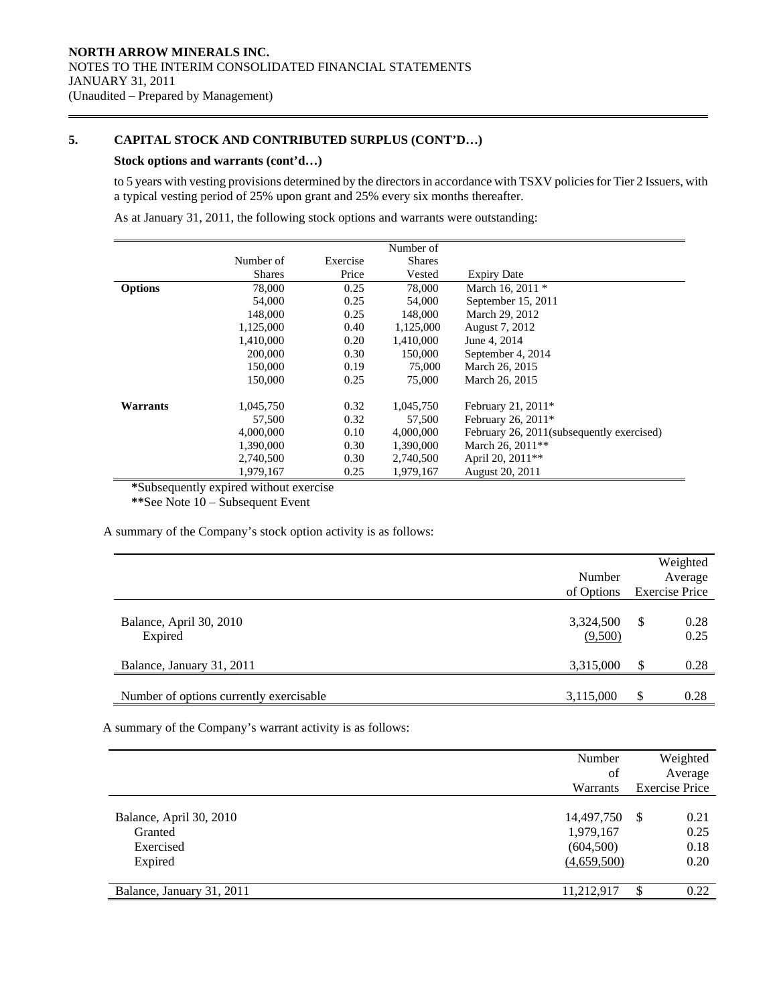# **5. CAPITAL STOCK AND CONTRIBUTED SURPLUS (CONT'D…)**

## **Stock options and warrants (cont'd…)**

 $\overline{a}$ 

to 5 years with vesting provisions determined by the directors in accordance with TSXV policies for Tier 2 Issuers, with a typical vesting period of 25% upon grant and 25% every six months thereafter.

As at January 31, 2011, the following stock options and warrants were outstanding:

|                 |               |          | Number of     |                                            |
|-----------------|---------------|----------|---------------|--------------------------------------------|
|                 | Number of     | Exercise | <b>Shares</b> |                                            |
|                 | <b>Shares</b> | Price    | Vested        | <b>Expiry Date</b>                         |
| <b>Options</b>  | 78,000        | 0.25     | 78,000        | March 16, 2011 *                           |
|                 | 54,000        | 0.25     | 54,000        | September 15, 2011                         |
|                 | 148,000       | 0.25     | 148,000       | March 29, 2012                             |
|                 | 1,125,000     | 0.40     | 1,125,000     | August 7, 2012                             |
|                 | 1,410,000     | 0.20     | 1,410,000     | June 4, 2014                               |
|                 | 200,000       | 0.30     | 150,000       | September 4, 2014                          |
|                 | 150,000       | 0.19     | 75,000        | March 26, 2015                             |
|                 | 150,000       | 0.25     | 75,000        | March 26, 2015                             |
| <b>Warrants</b> | 1,045,750     | 0.32     | 1,045,750     | February 21, 2011*                         |
|                 | 57,500        | 0.32     | 57,500        | February 26, 2011*                         |
|                 | 4,000,000     | 0.10     | 4,000,000     | February 26, 2011 (subsequently exercised) |
|                 | 1,390,000     | 0.30     | 1.390.000     | March 26, 2011 <sup>**</sup>               |
|                 | 2.740.500     | 0.30     | 2.740.500     | April 20, 2011**                           |
|                 | 1,979,167     | 0.25     | 1,979,167     | August 20, 2011                            |

 **\***Subsequently expired without exercise

 **\*\***See Note 10 – Subsequent Event

A summary of the Company's stock option activity is as follows:

|                                         |                      |               | Weighted              |
|-----------------------------------------|----------------------|---------------|-----------------------|
|                                         | Number               |               | Average               |
|                                         | of Options           |               | <b>Exercise Price</b> |
| Balance, April 30, 2010<br>Expired      | 3,324,500<br>(9,500) | -S            | 0.28<br>0.25          |
| Balance, January 31, 2011               | 3,315,000            | <sup>\$</sup> | 0.28                  |
| Number of options currently exercisable | 3,115,000            | S             | 0.28                  |

A summary of the Company's warrant activity is as follows:

|                           | Number      | Weighted              |
|---------------------------|-------------|-----------------------|
|                           | of          | Average               |
|                           | Warrants    | <b>Exercise Price</b> |
|                           |             |                       |
| Balance, April 30, 2010   | 14,497,750  | -S<br>0.21            |
| Granted                   | 1,979,167   | 0.25                  |
| Exercised                 | (604, 500)  | 0.18                  |
| Expired                   | (4,659,500) | 0.20                  |
|                           |             |                       |
| Balance, January 31, 2011 | 11,212,917  | 0.22<br>\$            |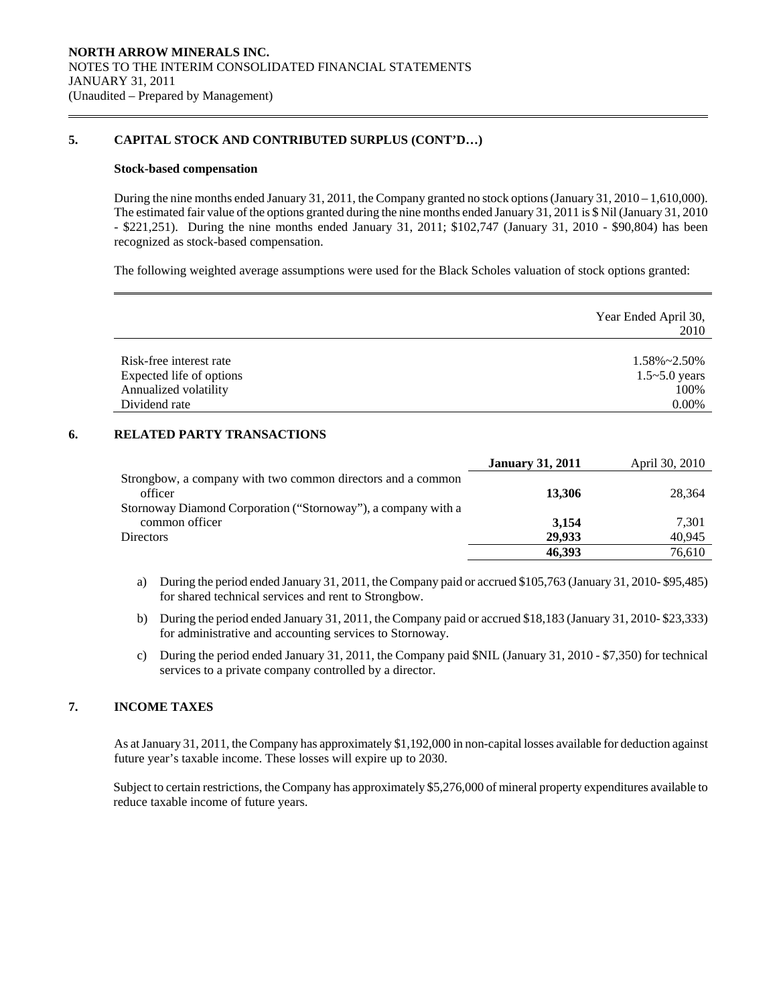## **5. CAPITAL STOCK AND CONTRIBUTED SURPLUS (CONT'D…)**

#### **Stock-based compensation**

 $\overline{a}$ 

 During the nine months ended January 31, 2011, the Company granted no stock options (January 31, 2010 – 1,610,000). The estimated fair value of the options granted during the nine months ended January 31, 2011 is \$ Nil (January 31, 2010 - \$221,251). During the nine months ended January 31, 2011; \$102,747 (January 31, 2010 - \$90,804) has been recognized as stock-based compensation.

The following weighted average assumptions were used for the Black Scholes valuation of stock options granted:

|                          | Year Ended April 30,<br>2010 |
|--------------------------|------------------------------|
| Risk-free interest rate  | $1.58\% \sim 2.50\%$         |
| Expected life of options | $1.5 - 5.0$ years            |
| Annualized volatility    | 100%                         |
| Dividend rate            | 0.00%                        |

## **6. RELATED PARTY TRANSACTIONS**

|                                                               | <b>January 31, 2011</b> | April 30, 2010 |
|---------------------------------------------------------------|-------------------------|----------------|
| Strongbow, a company with two common directors and a common   |                         |                |
| officer                                                       | 13,306                  | 28,364         |
| Stornoway Diamond Corporation ("Stornoway"), a company with a |                         |                |
| common officer                                                | 3,154                   | 7,301          |
| <b>Directors</b>                                              | 29.933                  | 40.945         |
|                                                               | 46.393                  | 76.610         |

a) During the period ended January 31, 2011, the Company paid or accrued \$105,763 (January 31, 2010- \$95,485) for shared technical services and rent to Strongbow.

- b) During the period ended January 31, 2011, the Company paid or accrued \$18,183 (January 31, 2010- \$23,333) for administrative and accounting services to Stornoway.
- c) During the period ended January 31, 2011, the Company paid \$NIL (January 31, 2010 \$7,350) for technical services to a private company controlled by a director.

## **7. INCOME TAXES**

 As at January 31, 2011, the Company has approximately \$1,192,000 in non-capital losses available for deduction against future year's taxable income. These losses will expire up to 2030.

Subject to certain restrictions, the Company has approximately \$5,276,000 of mineral property expenditures available to reduce taxable income of future years.